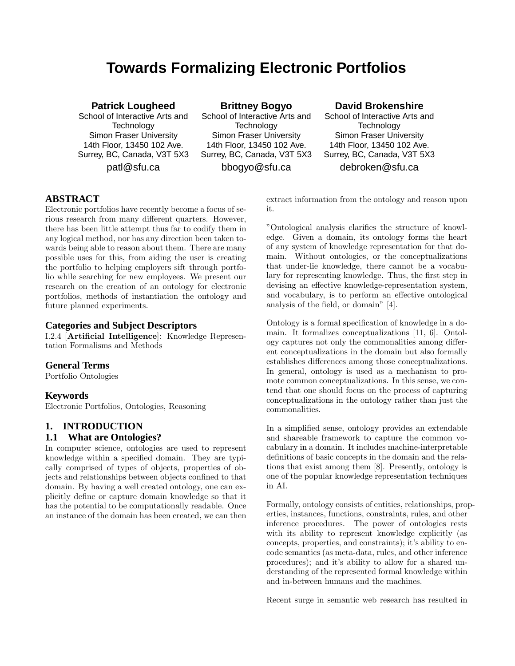# **Towards Formalizing Electronic Portfolios**

#### **Patrick Lougheed**

School of Interactive Arts and **Technology** Simon Fraser University 14th Floor, 13450 102 Ave. Surrey, BC, Canada, V3T 5X3 patl@sfu.ca

**Brittney Bogyo** School of Interactive Arts and **Technology** Simon Fraser University 14th Floor, 13450 102 Ave. Surrey, BC, Canada, V3T 5X3 bbogyo@sfu.ca

### **David Brokenshire**

School of Interactive Arts and **Technology** Simon Fraser University 14th Floor, 13450 102 Ave. Surrey, BC, Canada, V3T 5X3 debroken@sfu.ca

### **ABSTRACT**

Electronic portfolios have recently become a focus of serious research from many different quarters. However, there has been little attempt thus far to codify them in any logical method, nor has any direction been taken towards being able to reason about them. There are many possible uses for this, from aiding the user is creating the portfolio to helping employers sift through portfolio while searching for new employees. We present our research on the creation of an ontology for electronic portfolios, methods of instantiation the ontology and future planned experiments.

#### **Categories and Subject Descriptors**

I.2.4 [Artificial Intelligence]: Knowledge Representation Formalisms and Methods

### **General Terms**

Portfolio Ontologies

### **Keywords**

Electronic Portfolios, Ontologies, Reasoning

### **1. INTRODUCTION**

#### **1.1 What are Ontologies?**

In computer science, ontologies are used to represent knowledge within a specified domain. They are typically comprised of types of objects, properties of objects and relationships between objects confined to that domain. By having a well created ontology, one can explicitly define or capture domain knowledge so that it has the potential to be computationally readable. Once an instance of the domain has been created, we can then

extract information from the ontology and reason upon it.

"Ontological analysis clarifies the structure of knowledge. Given a domain, its ontology forms the heart of any system of knowledge representation for that domain. Without ontologies, or the conceptualizations that under-lie knowledge, there cannot be a vocabulary for representing knowledge. Thus, the first step in devising an effective knowledge-representation system, and vocabulary, is to perform an effective ontological analysis of the field, or domain" [4].

Ontology is a formal specification of knowledge in a domain. It formalizes conceptualizations [11, 6]. Ontology captures not only the commonalities among different conceptualizations in the domain but also formally establishes differences among those conceptualizations. In general, ontology is used as a mechanism to promote common conceptualizations. In this sense, we contend that one should focus on the process of capturing conceptualizations in the ontology rather than just the commonalities.

In a simplified sense, ontology provides an extendable and shareable framework to capture the common vocabulary in a domain. It includes machine-interpretable definitions of basic concepts in the domain and the relations that exist among them [8]. Presently, ontology is one of the popular knowledge representation techniques in AI.

Formally, ontology consists of entities, relationships, properties, instances, functions, constraints, rules, and other inference procedures. The power of ontologies rests with its ability to represent knowledge explicitly (as concepts, properties, and constraints); it's ability to encode semantics (as meta-data, rules, and other inference procedures); and it's ability to allow for a shared understanding of the represented formal knowledge within and in-between humans and the machines.

Recent surge in semantic web research has resulted in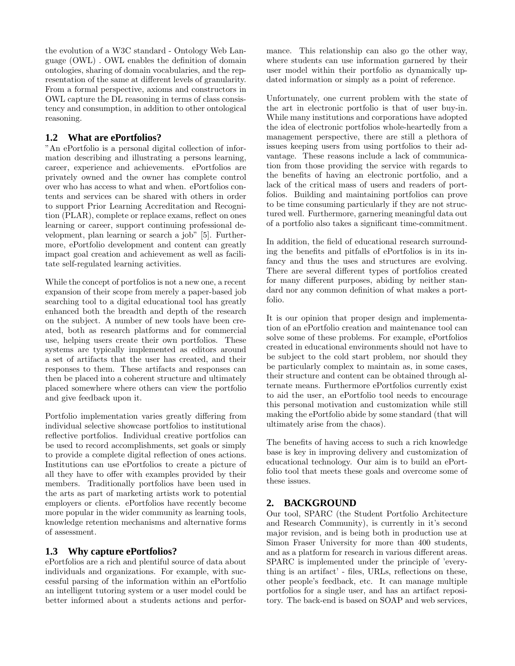the evolution of a W3C standard - Ontology Web Language (OWL) . OWL enables the definition of domain ontologies, sharing of domain vocabularies, and the representation of the same at different levels of granularity. From a formal perspective, axioms and constructors in OWL capture the DL reasoning in terms of class consistency and consumption, in addition to other ontological reasoning.

### **1.2 What are ePortfolios?**

"An ePortfolio is a personal digital collection of information describing and illustrating a persons learning, career, experience and achievements. ePortfolios are privately owned and the owner has complete control over who has access to what and when. ePortfolios contents and services can be shared with others in order to support Prior Learning Accreditation and Recognition (PLAR), complete or replace exams, reflect on ones learning or career, support continuing professional development, plan learning or search a job" [5]. Furthermore, ePortfolio development and content can greatly impact goal creation and achievement as well as facilitate self-regulated learning activities.

While the concept of portfolios is not a new one, a recent expansion of their scope from merely a paper-based job searching tool to a digital educational tool has greatly enhanced both the breadth and depth of the research on the subject. A number of new tools have been created, both as research platforms and for commercial use, helping users create their own portfolios. These systems are typically implemented as editors around a set of artifacts that the user has created, and their responses to them. These artifacts and responses can then be placed into a coherent structure and ultimately placed somewhere where others can view the portfolio and give feedback upon it.

Portfolio implementation varies greatly differing from individual selective showcase portfolios to institutional reflective portfolios. Individual creative portfolios can be used to record accomplishments, set goals or simply to provide a complete digital reflection of ones actions. Institutions can use ePortfolios to create a picture of all they have to offer with examples provided by their members. Traditionally portfolios have been used in the arts as part of marketing artists work to potential employers or clients. ePortfolios have recently become more popular in the wider community as learning tools, knowledge retention mechanisms and alternative forms of assessment.

### **1.3 Why capture ePortfolios?**

ePortfolios are a rich and plentiful source of data about individuals and organizations. For example, with successful parsing of the information within an ePortfolio an intelligent tutoring system or a user model could be better informed about a students actions and performance. This relationship can also go the other way, where students can use information garnered by their user model within their portfolio as dynamically updated information or simply as a point of reference.

Unfortunately, one current problem with the state of the art in electronic portfolio is that of user buy-in. While many institutions and corporations have adopted the idea of electronic portfolios whole-heartedly from a management perspective, there are still a plethora of issues keeping users from using portfolios to their advantage. These reasons include a lack of communication from those providing the service with regards to the benefits of having an electronic portfolio, and a lack of the critical mass of users and readers of portfolios. Building and maintaining portfolios can prove to be time consuming particularly if they are not structured well. Furthermore, garnering meaningful data out of a portfolio also takes a significant time-commitment.

In addition, the field of educational research surrounding the benefits and pitfalls of ePortfolios is in its infancy and thus the uses and structures are evolving. There are several different types of portfolios created for many different purposes, abiding by neither standard nor any common definition of what makes a portfolio.

It is our opinion that proper design and implementation of an ePortfolio creation and maintenance tool can solve some of these problems. For example, ePortfolios created in educational environments should not have to be subject to the cold start problem, nor should they be particularly complex to maintain as, in some cases, their structure and content can be obtained through alternate means. Furthermore ePortfolios currently exist to aid the user, an ePortfolio tool needs to encourage this personal motivation and customization while still making the ePortfolio abide by some standard (that will ultimately arise from the chaos).

The benefits of having access to such a rich knowledge base is key in improving delivery and customization of educational technology. Our aim is to build an ePortfolio tool that meets these goals and overcome some of these issues.

### **2. BACKGROUND**

Our tool, SPARC (the Student Portfolio Architecture and Research Community), is currently in it's second major revision, and is being both in production use at Simon Fraser University for more than 400 students, and as a platform for research in various different areas. SPARC is implemented under the principle of 'everything is an artifact' - files, URLs, reflections on these, other people's feedback, etc. It can manage multiple portfolios for a single user, and has an artifact repository. The back-end is based on SOAP and web services,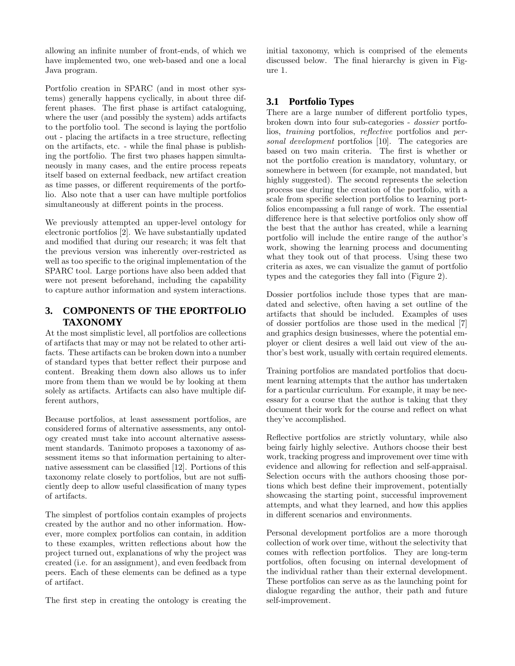allowing an infinite number of front-ends, of which we have implemented two, one web-based and one a local Java program.

Portfolio creation in SPARC (and in most other systems) generally happens cyclically, in about three different phases. The first phase is artifact cataloguing, where the user (and possibly the system) adds artifacts to the portfolio tool. The second is laying the portfolio out - placing the artifacts in a tree structure, reflecting on the artifacts, etc. - while the final phase is publishing the portfolio. The first two phases happen simultaneously in many cases, and the entire process repeats itself based on external feedback, new artifact creation as time passes, or different requirements of the portfolio. Also note that a user can have multiple portfolios simultaneously at different points in the process.

We previously attempted an upper-level ontology for electronic portfolios [2]. We have substantially updated and modified that during our research; it was felt that the previous version was inherently over-restricted as well as too specific to the original implementation of the SPARC tool. Large portions have also been added that were not present beforehand, including the capability to capture author information and system interactions.

### **3. COMPONENTS OF THE EPORTFOLIO TAXONOMY**

At the most simplistic level, all portfolios are collections of artifacts that may or may not be related to other artifacts. These artifacts can be broken down into a number of standard types that better reflect their purpose and content. Breaking them down also allows us to infer more from them than we would be by looking at them solely as artifacts. Artifacts can also have multiple different authors,

Because portfolios, at least assessment portfolios, are considered forms of alternative assessments, any ontology created must take into account alternative assessment standards. Tanimoto proposes a taxonomy of assessment items so that information pertaining to alternative assessment can be classified [12]. Portions of this taxonomy relate closely to portfolios, but are not sufficiently deep to allow useful classification of many types of artifacts.

The simplest of portfolios contain examples of projects created by the author and no other information. However, more complex portfolios can contain, in addition to these examples, written reflections about how the project turned out, explanations of why the project was created (i.e. for an assignment), and even feedback from peers. Each of these elements can be defined as a type of artifact.

The first step in creating the ontology is creating the

initial taxonomy, which is comprised of the elements discussed below. The final hierarchy is given in Figure 1.

### **3.1 Portfolio Types**

There are a large number of different portfolio types, broken down into four sub-categories - dossier portfolios, training portfolios, reflective portfolios and personal development portfolios [10]. The categories are based on two main criteria. The first is whether or not the portfolio creation is mandatory, voluntary, or somewhere in between (for example, not mandated, but highly suggested). The second represents the selection process use during the creation of the portfolio, with a scale from specific selection portfolios to learning portfolios encompassing a full range of work. The essential difference here is that selective portfolios only show off the best that the author has created, while a learning portfolio will include the entire range of the author's work, showing the learning process and documenting what they took out of that process. Using these two criteria as axes, we can visualize the gamut of portfolio types and the categories they fall into (Figure 2).

Dossier portfolios include those types that are mandated and selective, often having a set outline of the artifacts that should be included. Examples of uses of dossier portfolios are those used in the medical [7] and graphics design businesses, where the potential employer or client desires a well laid out view of the author's best work, usually with certain required elements.

Training portfolios are mandated portfolios that document learning attempts that the author has undertaken for a particular curriculum. For example, it may be necessary for a course that the author is taking that they document their work for the course and reflect on what they've accomplished.

Reflective portfolios are strictly voluntary, while also being fairly highly selective. Authors choose their best work, tracking progress and improvement over time with evidence and allowing for reflection and self-appraisal. Selection occurs with the authors choosing those portions which best define their improvement, potentially showcasing the starting point, successful improvement attempts, and what they learned, and how this applies in different scenarios and environments.

Personal development portfolios are a more thorough collection of work over time, without the selectivity that comes with reflection portfolios. They are long-term portfolios, often focusing on internal development of the individual rather than their external development. These portfolios can serve as as the launching point for dialogue regarding the author, their path and future self-improvement.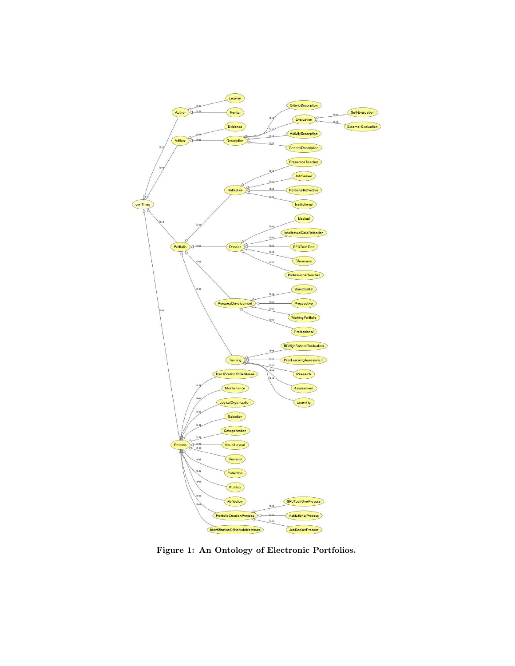

Figure 1: An Ontology of Electronic Portfolios.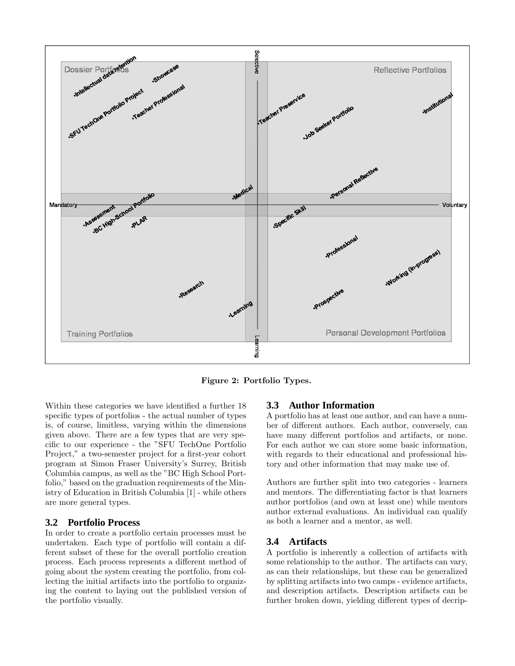

Figure 2: Portfolio Types.

Within these categories we have identified a further 18 specific types of portfolios - the actual number of types is, of course, limitless, varying within the dimensions given above. There are a few types that are very specific to our experience - the "SFU TechOne Portfolio Project," a two-semester project for a first-year cohort program at Simon Fraser University's Surrey, British Columbia campus, as well as the "BC High School Portfolio," based on the graduation requirements of the Ministry of Education in British Columbia [1] - while others are more general types.

#### **3.2 Portfolio Process**

In order to create a portfolio certain processes must be undertaken. Each type of portfolio will contain a different subset of these for the overall portfolio creation process. Each process represents a different method of going about the system creating the portfolio, from collecting the initial artifacts into the portfolio to organizing the content to laying out the published version of the portfolio visually.

#### **3.3 Author Information**

A portfolio has at least one author, and can have a number of different authors. Each author, conversely, can have many different portfolios and artifacts, or none. For each author we can store some basic information, with regards to their educational and professional history and other information that may make use of.

Authors are further split into two categories - learners and mentors. The differentiating factor is that learners author portfolios (and own at least one) while mentors author external evaluations. An individual can qualify as both a learner and a mentor, as well.

#### **3.4 Artifacts**

A portfolio is inherently a collection of artifacts with some relationship to the author. The artifacts can vary, as can their relationships, but these can be generalized by splitting artifacts into two camps - evidence artifacts, and description artifacts. Description artifacts can be further broken down, yielding different types of decrip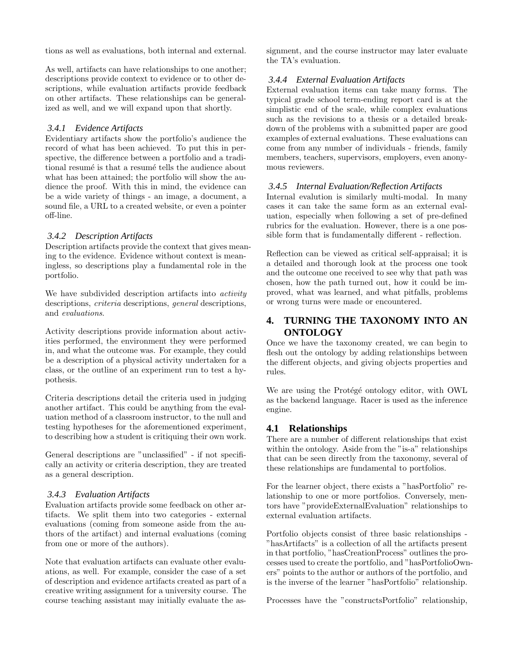tions as well as evaluations, both internal and external.

As well, artifacts can have relationships to one another; descriptions provide context to evidence or to other descriptions, while evaluation artifacts provide feedback on other artifacts. These relationships can be generalized as well, and we will expand upon that shortly.

#### *3.4.1 Evidence Artifacts*

Evidentiary artifacts show the portfolio's audience the record of what has been achieved. To put this in perspective, the difference between a portfolio and a traditional resumé is that a resumé tells the audience about what has been attained; the portfolio will show the audience the proof. With this in mind, the evidence can be a wide variety of things - an image, a document, a sound file, a URL to a created website, or even a pointer off-line.

#### *3.4.2 Description Artifacts*

Description artifacts provide the context that gives meaning to the evidence. Evidence without context is meaningless, so descriptions play a fundamental role in the portfolio.

We have subdivided description artifacts into *activity* descriptions, criteria descriptions, general descriptions, and evaluations.

Activity descriptions provide information about activities performed, the environment they were performed in, and what the outcome was. For example, they could be a description of a physical activity undertaken for a class, or the outline of an experiment run to test a hypothesis.

Criteria descriptions detail the criteria used in judging another artifact. This could be anything from the evaluation method of a classroom instructor, to the null and testing hypotheses for the aforementioned experiment, to describing how a student is critiquing their own work.

General descriptions are "unclassified" - if not specifically an activity or criteria description, they are treated as a general description.

#### *3.4.3 Evaluation Artifacts*

Evaluation artifacts provide some feedback on other artifacts. We split them into two categories - external evaluations (coming from someone aside from the authors of the artifact) and internal evaluations (coming from one or more of the authors).

Note that evaluation artifacts can evaluate other evaluations, as well. For example, consider the case of a set of description and evidence artifacts created as part of a creative writing assignment for a university course. The course teaching assistant may initially evaluate the assignment, and the course instructor may later evaluate the TA's evaluation.

#### *3.4.4 External Evaluation Artifacts*

External evaluation items can take many forms. The typical grade school term-ending report card is at the simplistic end of the scale, while complex evaluations such as the revisions to a thesis or a detailed breakdown of the problems with a submitted paper are good examples of external evaluations. These evaluations can come from any number of individuals - friends, family members, teachers, supervisors, employers, even anonymous reviewers.

#### *3.4.5 Internal Evaluation/Reflection Artifacts*

Internal evalution is similarly multi-modal. In many cases it can take the same form as an external evaluation, especially when following a set of pre-defined rubrics for the evaluation. However, there is a one possible form that is fundamentally different - reflection.

Reflection can be viewed as critical self-appraisal; it is a detailed and thorough look at the process one took and the outcome one received to see why that path was chosen, how the path turned out, how it could be improved, what was learned, and what pitfalls, problems or wrong turns were made or encountered.

### **4. TURNING THE TAXONOMY INTO AN ONTOLOGY**

Once we have the taxonomy created, we can begin to flesh out the ontology by adding relationships between the different objects, and giving objects properties and rules.

We are using the Protégé ontology editor, with OWL as the backend language. Racer is used as the inference engine.

#### **4.1 Relationships**

There are a number of different relationships that exist within the ontology. Aside from the "is-a" relationships that can be seen directly from the taxonomy, several of these relationships are fundamental to portfolios.

For the learner object, there exists a "hasPortfolio" relationship to one or more portfolios. Conversely, mentors have "provideExternalEvaluation" relationships to external evaluation artifacts.

Portfolio objects consist of three basic relationships - "hasArtifacts" is a collection of all the artifacts present in that portfolio, "hasCreationProcess" outlines the processes used to create the portfolio, and "hasPortfolioOwners" points to the author or authors of the portfolio, and is the inverse of the learner "hasPortfolio" relationship.

Processes have the "constructsPortfolio" relationship,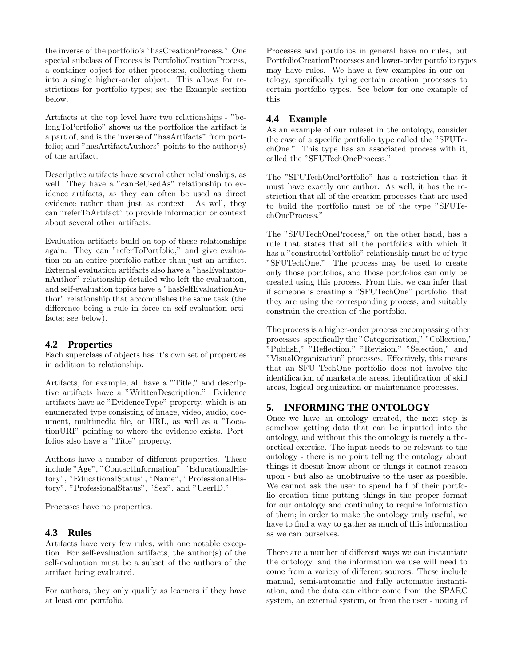the inverse of the portfolio's "hasCreationProcess." One special subclass of Process is PortfolioCreationProcess, a container object for other processes, collecting them into a single higher-order object. This allows for restrictions for portfolio types; see the Example section below.

Artifacts at the top level have two relationships - "belongToPortfolio" shows us the portfolios the artifact is a part of, and is the inverse of "hasArtifacts" from portfolio; and "hasArtifactAuthors" points to the author(s) of the artifact.

Descriptive artifacts have several other relationships, as well. They have a "canBeUsedAs" relationship to evidence artifacts, as they can often be used as direct evidence rather than just as context. As well, they can "referToArtifact" to provide information or context about several other artifacts.

Evaluation artifacts build on top of these relationships again. They can "referToPortfolio," and give evaluation on an entire portfolio rather than just an artifact. External evaluation artifacts also have a "hasEvaluationAuthor" relationship detailed who left the evaluation, and self-evaluation topics have a "hasSelfEvaluationAuthor" relationship that accomplishes the same task (the difference being a rule in force on self-evaluation artifacts; see below).

### **4.2 Properties**

Each superclass of objects has it's own set of properties in addition to relationship.

Artifacts, for example, all have a "Title," and descriptive artifacts have a "WrittenDescription." Evidence artifacts have ae "EvidenceType" property, which is an enumerated type consisting of image, video, audio, document, multimedia file, or URL, as well as a "LocationURI" pointing to where the evidence exists. Portfolios also have a "Title" property.

Authors have a number of different properties. These include "Age", "ContactInformation", "EducationalHistory", "EducationalStatus", "Name", "ProfessionalHistory", "ProfessionalStatus", "Sex", and "UserID."

Processes have no properties.

#### **4.3 Rules**

Artifacts have very few rules, with one notable exception. For self-evaluation artifacts, the author(s) of the self-evaluation must be a subset of the authors of the artifact being evaluated.

For authors, they only qualify as learners if they have at least one portfolio.

Processes and portfolios in general have no rules, but PortfolioCreationProcesses and lower-order portfolio types may have rules. We have a few examples in our ontology, specifically tying certain creation processes to certain portfolio types. See below for one example of this.

### **4.4 Example**

As an example of our ruleset in the ontology, consider the case of a specific portfolio type called the "SFUTechOne." This type has an associated process with it, called the "SFUTechOneProcess."

The "SFUTechOnePortfolio" has a restriction that it must have exactly one author. As well, it has the restriction that all of the creation processes that are used to build the portfolio must be of the type "SFUTechOneProcess."

The "SFUTechOneProcess," on the other hand, has a rule that states that all the portfolios with which it has a "constructsPortfolio" relationship must be of type "SFUTechOne." The process may be used to create only those portfolios, and those portfolios can only be created using this process. From this, we can infer that if someone is creating a "SFUTechOne" portfolio, that they are using the corresponding process, and suitably constrain the creation of the portfolio.

The process is a higher-order process encompassing other processes, specifically the "Categorization," "Collection," "Publish," "Reflection," "Revision," "Selection," and "VisualOrganization" processes. Effectively, this means that an SFU TechOne portfolio does not involve the identification of marketable areas, identification of skill areas, logical organization or maintenance processes.

### **5. INFORMING THE ONTOLOGY**

Once we have an ontology created, the next step is somehow getting data that can be inputted into the ontology, and without this the ontology is merely a theoretical exercise. The input needs to be relevant to the ontology - there is no point telling the ontology about things it doesnt know about or things it cannot reason upon - but also as unobtrusive to the user as possible. We cannot ask the user to spend half of their portfolio creation time putting things in the proper format for our ontology and continuing to require information of them; in order to make the ontology truly useful, we have to find a way to gather as much of this information as we can ourselves.

There are a number of different ways we can instantiate the ontology, and the information we use will need to come from a variety of different sources. These include manual, semi-automatic and fully automatic instantiation, and the data can either come from the SPARC system, an external system, or from the user - noting of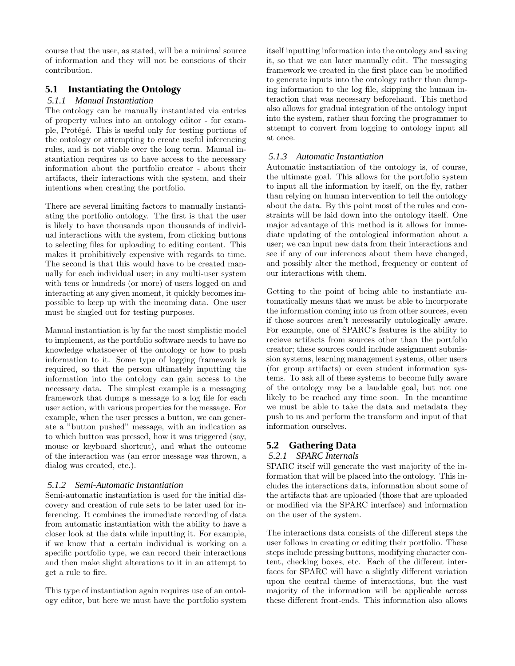course that the user, as stated, will be a minimal source of information and they will not be conscious of their contribution.

### **5.1 Instantiating the Ontology**

#### *5.1.1 Manual Instantiation*

The ontology can be manually instantiated via entries of property values into an ontology editor - for example, Protégé. This is useful only for testing portions of the ontology or attempting to create useful inferencing rules, and is not viable over the long term. Manual instantiation requires us to have access to the necessary information about the portfolio creator - about their artifacts, their interactions with the system, and their intentions when creating the portfolio.

There are several limiting factors to manually instantiating the portfolio ontology. The first is that the user is likely to have thousands upon thousands of individual interactions with the system, from clicking buttons to selecting files for uploading to editing content. This makes it prohibitively expensive with regards to time. The second is that this would have to be created manually for each individual user; in any multi-user system with tens or hundreds (or more) of users logged on and interacting at any given moment, it quickly becomes impossible to keep up with the incoming data. One user must be singled out for testing purposes.

Manual instantiation is by far the most simplistic model to implement, as the portfolio software needs to have no knowledge whatsoever of the ontology or how to push information to it. Some type of logging framework is required, so that the person ultimately inputting the information into the ontology can gain access to the necessary data. The simplest example is a messaging framework that dumps a message to a log file for each user action, with various properties for the message. For example, when the user presses a button, we can generate a "button pushed" message, with an indication as to which button was pressed, how it was triggered (say, mouse or keyboard shortcut), and what the outcome of the interaction was (an error message was thrown, a dialog was created, etc.).

### *5.1.2 Semi-Automatic Instantiation*

Semi-automatic instantiation is used for the initial discovery and creation of rule sets to be later used for inferencing. It combines the immediate recording of data from automatic instantiation with the ability to have a closer look at the data while inputting it. For example, if we know that a certain individual is working on a specific portfolio type, we can record their interactions and then make slight alterations to it in an attempt to get a rule to fire.

This type of instantiation again requires use of an ontology editor, but here we must have the portfolio system itself inputting information into the ontology and saving it, so that we can later manually edit. The messaging framework we created in the first place can be modified to generate inputs into the ontology rather than dumping information to the log file, skipping the human interaction that was necessary beforehand. This method also allows for gradual integration of the ontology input into the system, rather than forcing the programmer to attempt to convert from logging to ontology input all at once.

#### *5.1.3 Automatic Instantiation*

Automatic instantiation of the ontology is, of course, the ultimate goal. This allows for the portfolio system to input all the information by itself, on the fly, rather than relying on human intervention to tell the ontology about the data. By this point most of the rules and constraints will be laid down into the ontology itself. One major advantage of this method is it allows for immediate updating of the ontological information about a user; we can input new data from their interactions and see if any of our inferences about them have changed, and possibly alter the method, frequency or content of our interactions with them.

Getting to the point of being able to instantiate automatically means that we must be able to incorporate the information coming into us from other sources, even if those sources aren't necessarily ontologically aware. For example, one of SPARC's features is the ability to recieve artifacts from sources other than the portfolio creator; these sources could include assignment submission systems, learning management systems, other users (for group artifacts) or even student information systems. To ask all of these systems to become fully aware of the ontology may be a laudable goal, but not one likely to be reached any time soon. In the meantime we must be able to take the data and metadata they push to us and perform the transform and input of that information ourselves.

# **5.2 Gathering Data**

### *5.2.1 SPARC Internals*

SPARC itself will generate the vast majority of the information that will be placed into the ontology. This includes the interactions data, information about some of the artifacts that are uploaded (those that are uploaded or modified via the SPARC interface) and information on the user of the system.

The interactions data consists of the different steps the user follows in creating or editing their portfolio. These steps include pressing buttons, modifying character content, checking boxes, etc. Each of the different interfaces for SPARC will have a slightly different variation upon the central theme of interactions, but the vast majority of the information will be applicable across these different front-ends. This information also allows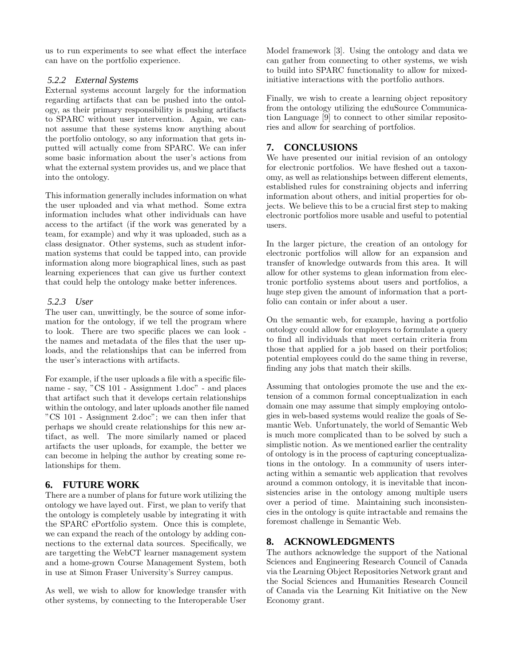us to run experiments to see what effect the interface can have on the portfolio experience.

#### *5.2.2 External Systems*

External systems account largely for the information regarding artifacts that can be pushed into the ontology, as their primary responsibility is pushing artifacts to SPARC without user intervention. Again, we cannot assume that these systems know anything about the portfolio ontology, so any information that gets inputted will actually come from SPARC. We can infer some basic information about the user's actions from what the external system provides us, and we place that into the ontology.

This information generally includes information on what the user uploaded and via what method. Some extra information includes what other individuals can have access to the artifact (if the work was generated by a team, for example) and why it was uploaded, such as a class designator. Other systems, such as student information systems that could be tapped into, can provide information along more biographical lines, such as past learning experiences that can give us further context that could help the ontology make better inferences.

#### *5.2.3 User*

The user can, unwittingly, be the source of some information for the ontology, if we tell the program where to look. There are two specific places we can look the names and metadata of the files that the user uploads, and the relationships that can be inferred from the user's interactions with artifacts.

For example, if the user uploads a file with a specific filename - say, "CS 101 - Assignment 1.doc" - and places that artifact such that it develops certain relationships within the ontology, and later uploads another file named "CS 101 - Assignment 2.doc"; we can then infer that perhaps we should create relationships for this new artifact, as well. The more similarly named or placed artifacts the user uploads, for example, the better we can become in helping the author by creating some relationships for them.

### **6. FUTURE WORK**

There are a number of plans for future work utilizing the ontology we have layed out. First, we plan to verify that the ontology is completely usable by integrating it with the SPARC ePortfolio system. Once this is complete, we can expand the reach of the ontology by adding connections to the external data sources. Specifically, we are targetting the WebCT learner management system and a home-grown Course Management System, both in use at Simon Fraser University's Surrey campus.

As well, we wish to allow for knowledge transfer with other systems, by connecting to the Interoperable User Model framework [3]. Using the ontology and data we can gather from connecting to other systems, we wish to build into SPARC functionality to allow for mixedinitiative interactions with the portfolio authors.

Finally, we wish to create a learning object repository from the ontology utilizing the eduSource Communication Language [9] to connect to other similar repositories and allow for searching of portfolios.

## **7. CONCLUSIONS**

We have presented our initial revision of an ontology for electronic portfolios. We have fleshed out a taxonomy, as well as relationships between different elements, established rules for constraining objects and inferring information about others, and initial properties for objects. We believe this to be a crucial first step to making electronic portfolios more usable and useful to potential users.

In the larger picture, the creation of an ontology for electronic portfolios will allow for an expansion and transfer of knowledge outwards from this area. It will allow for other systems to glean information from electronic portfolio systems about users and portfolios, a huge step given the amount of information that a portfolio can contain or infer about a user.

On the semantic web, for example, having a portfolio ontology could allow for employers to formulate a query to find all individuals that meet certain criteria from those that applied for a job based on their portfolios; potential employees could do the same thing in reverse, finding any jobs that match their skills.

Assuming that ontologies promote the use and the extension of a common formal conceptualization in each domain one may assume that simply employing ontologies in web-based systems would realize the goals of Semantic Web. Unfortunately, the world of Semantic Web is much more complicated than to be solved by such a simplistic notion. As we mentioned earlier the centrality of ontology is in the process of capturing conceptualizations in the ontology. In a community of users interacting within a semantic web application that revolves around a common ontology, it is inevitable that inconsistencies arise in the ontology among multiple users over a period of time. Maintaining such inconsistencies in the ontology is quite intractable and remains the foremost challenge in Semantic Web.

# **8. ACKNOWLEDGMENTS**

The authors acknowledge the support of the National Sciences and Engineering Research Council of Canada via the Learning Object Repositories Network grant and the Social Sciences and Humanities Research Council of Canada via the Learning Kit Initiative on the New Economy grant.